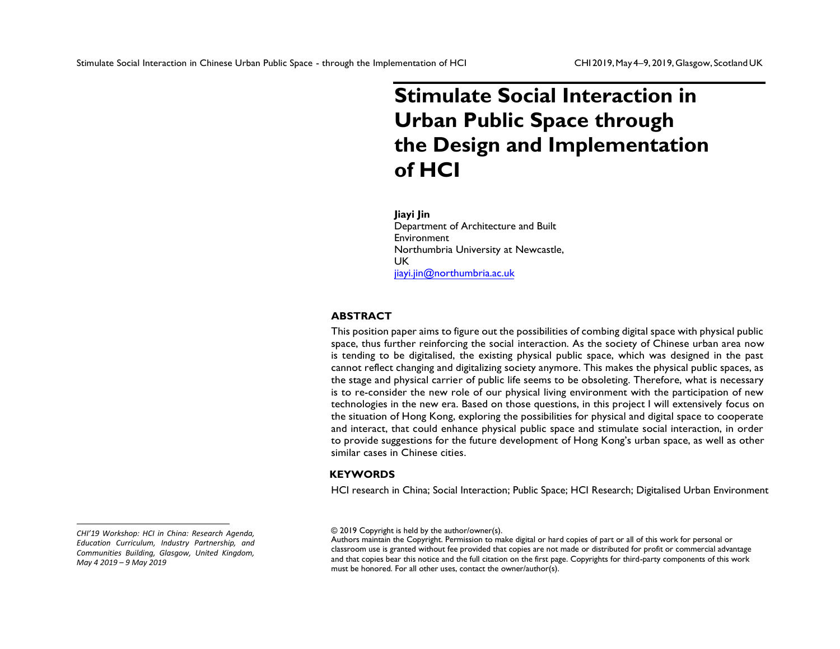# **Stimulate Social Interaction in Urban Public Space through the Design and Implementation of HCI**

### **Jiayi Jin**

Department of Architecture and Built Environment Northumbria University at Newcastle, UK [jiayi.jin@northu](mailto:jiayi.jin@northumbria.ac.uk)mbria.ac.uk

# **ABSTRACT**

This position paper aims to figure out the possibilities of combing digital space with physical public space, thus further reinforcing the social interaction. As the society of Chinese urban area now is tending to be digitalised, the existing physical public space, which was designed in the past cannot reflect changing and digitalizing society anymore. This makes the physical public spaces, as the stage and physical carrier of public life seems to be obsoleting. Therefore, what is necessary is to re-consider the new role of our physical living environment with the participation of new technologies in the new era. Based on those questions, in this project I will extensively focus on the situation of Hong Kong, exploring the possibilities for physical and digital space to cooperate and interact, that could enhance physical public space and stimulate social interaction, in order to provide suggestions for the future development of Hong Kong's urban space, as well as other similar cases in Chinese cities.

# **KEYWORDS**

HCI research in China; Social Interaction; Public Space; HCI Research; Digitalised Urban Environment

*CHI'19 Workshop: HCI in China: Research Agenda, Education Curriculum, Industry Partnership, and Communities Building, Glasgow, United Kingdom, May 4 2019 – 9 May 2019*

<sup>© 2019</sup> Copyright is held by the author/owner(s).

Authors maintain the Copyright. Permission to make digital or hard copies of part or all of this work for personal or classroom use is granted without fee provided that copies are not made or distributed for profit or commercial advantage and that copies bear this notice and the full citation on the first page. Copyrights for third-party components of this work must be honored. For all other uses, contact the owner/author(s).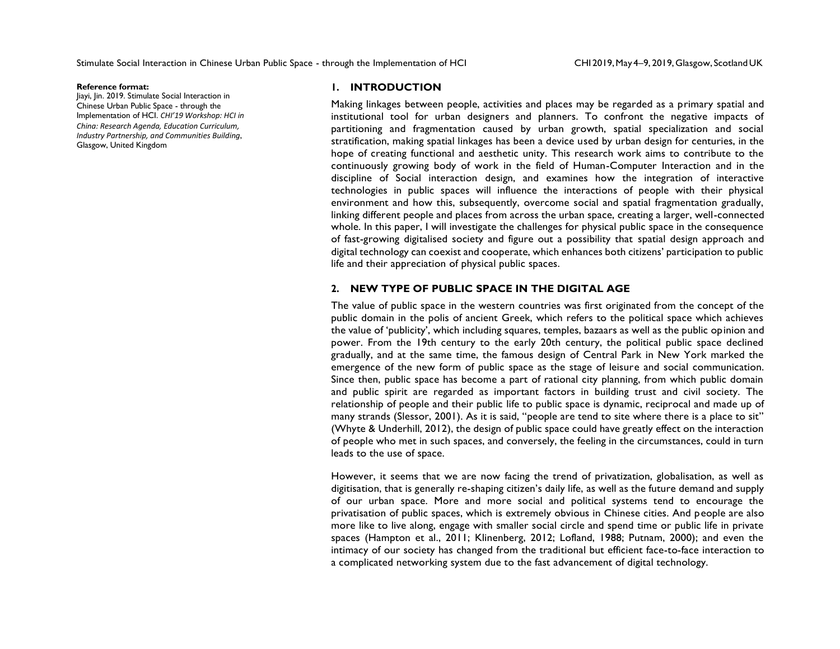#### **Reference format:**

Jiayi, Jin. 2019. Stimulate Social Interaction in Chinese Urban Public Space - through the Implementation of HCI. *CHI'19 Workshop: HCI in China: Research Agenda, Education Curriculum, Industry Partnership, and Communities Building*, Glasgow, United Kingdom

### **1. INTRODUCTION**

Making linkages between people, activities and places may be regarded as a primary spatial and institutional tool for urban designers and planners. To confront the negative impacts of partitioning and fragmentation caused by urban growth, spatial specialization and social stratification, making spatial linkages has been a device used by urban design for centuries, in the hope of creating functional and aesthetic unity. This research work aims to contribute to the continuously growing body of work in the field of Human-Computer Interaction and in the discipline of Social interaction design, and examines how the integration of interactive technologies in public spaces will influence the interactions of people with their physical environment and how this, subsequently, overcome social and spatial fragmentation gradually, linking different people and places from across the urban space, creating a larger, well-connected whole. In this paper, I will investigate the challenges for physical public space in the consequence of fast-growing digitalised society and figure out a possibility that spatial design approach and digital technology can coexist and cooperate, which enhances both citizens' participation to public life and their appreciation of physical public spaces.

### **2. NEW TYPE OF PUBLIC SPACE IN THE DIGITAL AGE**

The value of public space in the western countries was first originated from the concept of the public domain in the polis of ancient Greek, which refers to the political space which achieves the value of 'publicity', which including squares, temples, bazaars as well as the public opinion and power. From the 19th century to the early 20th century, the political public space declined gradually, and at the same time, the famous design of Central Park in New York marked the emergence of the new form of public space as the stage of leisure and social communication. Since then, public space has become a part of rational city planning, from which public domain and public spirit are regarded as important factors in building trust and civil society. The relationship of people and their public life to public space is dynamic, reciprocal and made up of many strands (Slessor, 2001). As it is said, "people are tend to site where there is a place to sit" (Whyte & Underhill, 2012), the design of public space could have greatly effect on the interaction of people who met in such spaces, and conversely, the feeling in the circumstances, could in turn leads to the use of space.

However, it seems that we are now facing the trend of privatization, globalisation, as well as digitisation, that is generally re-shaping citizen's daily life, as well as the future demand and supply of our urban space. More and more social and political systems tend to encourage the privatisation of public spaces, which is extremely obvious in Chinese cities. And people are also more like to live along, engage with smaller social circle and spend time or public life in private spaces (Hampton et al., 2011; Klinenberg, 2012; Lofland, 1988; Putnam, 2000); and even the intimacy of our society has changed from the traditional but efficient face-to-face interaction to a complicated networking system due to the fast advancement of digital technology.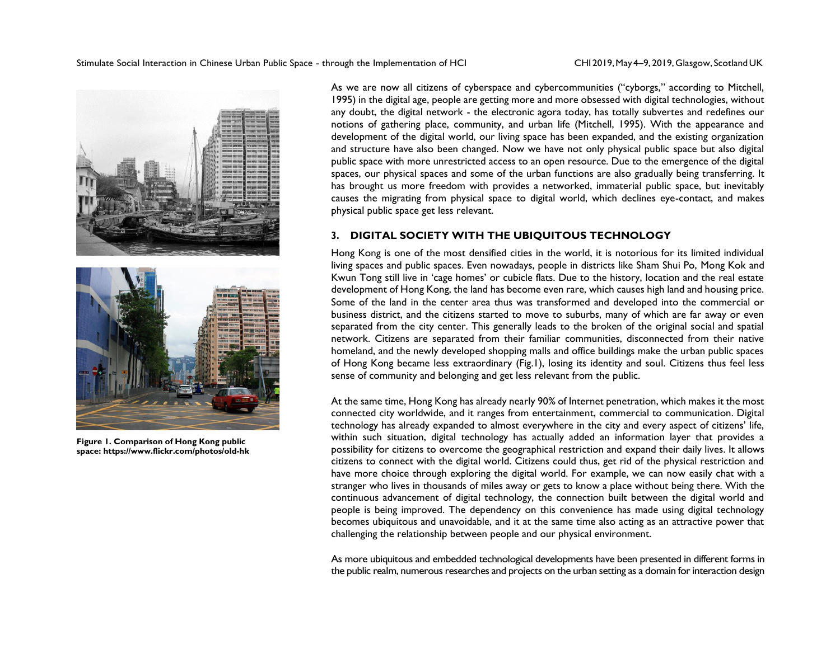

**Figure 1. Comparison of Hong Kong public space: https://www.flickr.com/photos/old-hk**

As we are now all citizens of cyberspace and cybercommunities ("cyborgs," according to Mitchell, 1995) in the digital age, people are getting more and more obsessed with digital technologies, without any doubt, the digital network - the electronic agora today, has totally subvertes and redefines our notions of gathering place, community, and urban life (Mitchell, 1995). With the appearance and development of the digital world, our living space has been expanded, and the existing organization and structure have also been changed. Now we have not only physical public space but also digital public space with more unrestricted access to an open resource. Due to the emergence of the digital spaces, our physical spaces and some of the urban functions are also gradually being transferring. It has brought us more freedom with provides a networked, immaterial public space, but inevitably causes the migrating from physical space to digital world, which declines eye-contact, and makes physical public space get less relevant.

### **3. DIGITAL SOCIETY WITH THE UBIQUITOUS TECHNOLOGY**

Hong Kong is one of the most densified cities in the world, it is notorious for its limited individual living spaces and public spaces. Even nowadays, people in districts like Sham Shui Po, Mong Kok and Kwun Tong still live in 'cage homes' or cubicle flats. Due to the history, location and the real estate development of Hong Kong, the land has become even rare, which causes high land and housing price. Some of the land in the center area thus was transformed and developed into the commercial or business district, and the citizens started to move to suburbs, many of which are far away or even separated from the city center. This generally leads to the broken of the original social and spatial network. Citizens are separated from their familiar communities, disconnected from their native homeland, and the newly developed shopping malls and office buildings make the urban public spaces of Hong Kong became less extraordinary (Fig.1), losing its identity and soul. Citizens thus feel less sense of community and belonging and get less relevant from the public.

At the same time, Hong Kong has already nearly 90% of Internet penetration, which makes it the most connected city worldwide, and it ranges from entertainment, commercial to communication. Digital technology has already expanded to almost everywhere in the city and every aspect of citizens' life, within such situation, digital technology has actually added an information layer that provides a possibility for citizens to overcome the geographical restriction and expand their daily lives. It allows citizens to connect with the digital world. Citizens could thus, get rid of the physical restriction and have more choice through exploring the digital world. For example, we can now easily chat with a stranger who lives in thousands of miles away or gets to know a place without being there. With the continuous advancement of digital technology, the connection built between the digital world and people is being improved. The dependency on this convenience has made using digital technology becomes ubiquitous and unavoidable, and it at the same time also acting as an attractive power that challenging the relationship between people and our physical environment.

As more ubiquitous and embedded technological developments have been presented in different forms in the public realm, numerous researches and projects on the urban setting as a domain for interaction design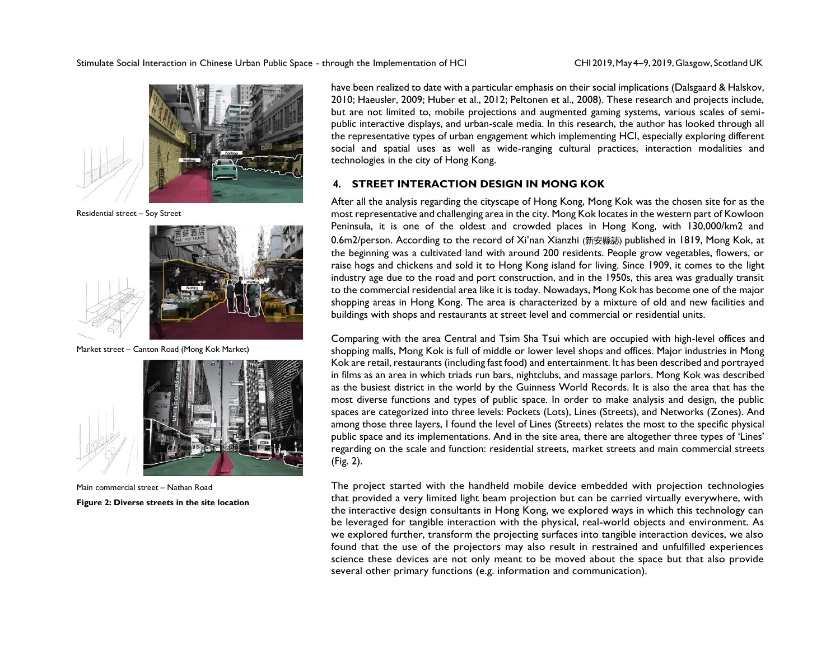

Residential street – Soy Street



Market street – Canton Road (Mong Kok Market)



Main commercial street – Nathan Road **Figure 2: Diverse streets in the site location**

have been realized to date with a particular emphasis on their social implications (Dalsgaard & Halskov, 2010; Haeusler, 2009; Huber et al., 2012; Peltonen et al., 2008). These research and projects include, but are not limited to, mobile projections and augmented gaming systems, various scales of semipublic interactive displays, and urban-scale media. In this research, the author has looked through all the representative types of urban engagement which implementing HCI, especially exploring different social and spatial uses as well as wide-ranging cultural practices, interaction modalities and technologies in the city of Hong Kong.

# **4. STREET INTERACTION DESIGN IN MONG KOK**

After all the analysis regarding the cityscape of Hong Kong, Mong Kok was the chosen site for as the most representative and challenging area in the city. Mong Kok locates in the western part of Kowloon Peninsula, it is one of the oldest and crowded places in Hong Kong, with 130,000/km2 and 0.6m2/person. According to the record of Xi'nan Xianzhi (新安縣誌) published in 1819, Mong Kok, at the beginning was a cultivated land with around 200 residents. People grow vegetables, flowers, or raise hogs and chickens and sold it to Hong Kong island for living. Since 1909, it comes to the light industry age due to the road and port construction, and in the 1950s, this area was gradually transit to the commercial residential area like it is today. Nowadays, Mong Kok has become one of the major shopping areas in Hong Kong. The area is characterized by a mixture of old and new facilities and buildings with shops and restaurants at street level and commercial or residential units.

Comparing with the area Central and Tsim Sha Tsui which are occupied with high-level offices and shopping malls, Mong Kok is full of middle or lower level shops and offices. Major industries in Mong Kok are retail, restaurants (including fast food) and entertainment. It has been described and portrayed in films as an area in which triads run bars, nightclubs, and massage parlors. Mong Kok was described as the busiest district in the world by the Guinness World Records. It is also the area that has the most diverse functions and types of public space. In order to make analysis and design, the public spaces are categorized into three levels: Pockets (Lots), Lines (Streets), and Networks (Zones). And among those three layers, I found the level of Lines (Streets) relates the most to the specific physical public space and its implementations. And in the site area, there are altogether three types of 'Lines' regarding on the scale and function: residential streets, market streets and main commercial streets (Fig. 2).

The project started with the handheld mobile device embedded with projection technologies that provided a very limited light beam projection but can be carried virtually everywhere, with the interactive design consultants in Hong Kong, we explored ways in which this technology can be leveraged for tangible interaction with the physical, real-world objects and environment. As we explored further, transform the projecting surfaces into tangible interaction devices, we also found that the use of the projectors may also result in restrained and unfulfilled experiences science these devices are not only meant to be moved about the space but that also provide several other primary functions (e.g. information and communication).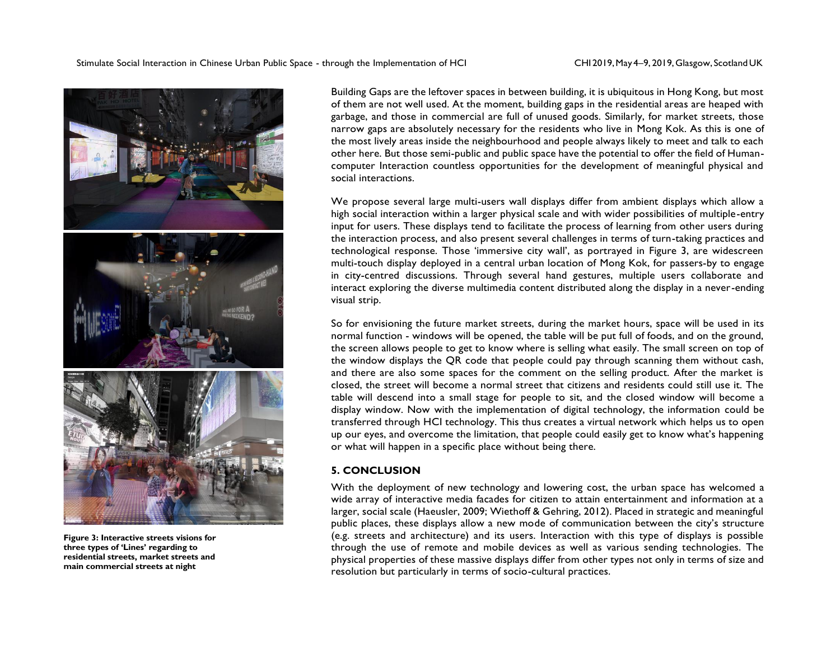

**Figure 3: Interactive streets visions for three types of 'Lines' regarding to residential streets, market streets and main commercial streets at night** 

Building Gaps are the leftover spaces in between building, it is ubiquitous in Hong Kong, but most of them are not well used. At the moment, building gaps in the residential areas are heaped with garbage, and those in commercial are full of unused goods. Similarly, for market streets, those narrow gaps are absolutely necessary for the residents who live in Mong Kok. As this is one of the most lively areas inside the neighbourhood and people always likely to meet and talk to each other here. But those semi-public and public space have the potential to offer the field of Humancomputer Interaction countless opportunities for the development of meaningful physical and social interactions.

We propose several large multi-users wall displays differ from ambient displays which allow a high social interaction within a larger physical scale and with wider possibilities of multiple-entry input for users. These displays tend to facilitate the process of learning from other users during the interaction process, and also present several challenges in terms of turn-taking practices and technological response. Those 'immersive city wall', as portrayed in Figure 3, are widescreen multi-touch display deployed in a central urban location of Mong Kok, for passers-by to engage in city-centred discussions. Through several hand gestures, multiple users collaborate and interact exploring the diverse multimedia content distributed along the display in a never-ending visual strip.

So for envisioning the future market streets, during the market hours, space will be used in its normal function - windows will be opened, the table will be put full of foods, and on the ground, the screen allows people to get to know where is selling what easily. The small screen on top of the window displays the QR code that people could pay through scanning them without cash, and there are also some spaces for the comment on the selling product. After the market is closed, the street will become a normal street that citizens and residents could still use it. The table will descend into a small stage for people to sit, and the closed window will become a display window. Now with the implementation of digital technology, the information could be transferred through HCI technology. This thus creates a virtual network which helps us to open up our eyes, and overcome the limitation, that people could easily get to know what's happening or what will happen in a specific place without being there.

### **5. CONCLUSION**

With the deployment of new technology and lowering cost, the urban space has welcomed a wide array of interactive media facades for citizen to attain entertainment and information at a larger, social scale (Haeusler, 2009; Wiethoff & Gehring, 2012). Placed in strategic and meaningful public places, these displays allow a new mode of communication between the city's structure (e.g. streets and architecture) and its users. Interaction with this type of displays is possible through the use of remote and mobile devices as well as various sending technologies. The physical properties of these massive displays differ from other types not only in terms of size and resolution but particularly in terms of socio-cultural practices.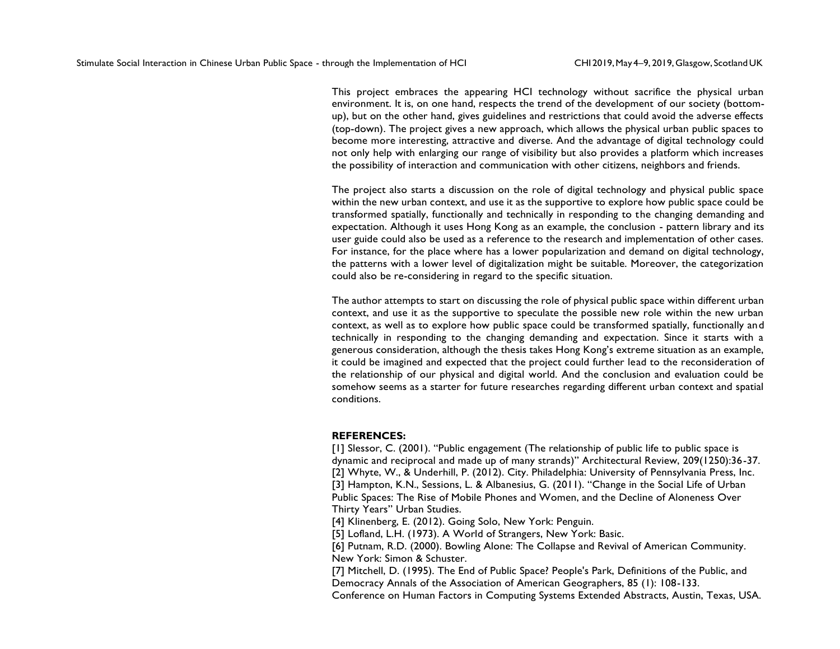This project embraces the appearing HCI technology without sacrifice the physical urban environment. It is, on one hand, respects the trend of the development of our society (bottomup), but on the other hand, gives guidelines and restrictions that could avoid the adverse effects (top-down). The project gives a new approach, which allows the physical urban public spaces to become more interesting, attractive and diverse. And the advantage of digital technology could not only help with enlarging our range of visibility but also provides a platform which increases the possibility of interaction and communication with other citizens, neighbors and friends.

The project also starts a discussion on the role of digital technology and physical public space within the new urban context, and use it as the supportive to explore how public space could be transformed spatially, functionally and technically in responding to the changing demanding and expectation. Although it uses Hong Kong as an example, the conclusion - pattern library and its user guide could also be used as a reference to the research and implementation of other cases. For instance, for the place where has a lower popularization and demand on digital technology, the patterns with a lower level of digitalization might be suitable. Moreover, the categorization could also be re-considering in regard to the specific situation.

The author attempts to start on discussing the role of physical public space within different urban context, and use it as the supportive to speculate the possible new role within the new urban context, as well as to explore how public space could be transformed spatially, functionally and technically in responding to the changing demanding and expectation. Since it starts with a generous consideration, although the thesis takes Hong Kong's extreme situation as an example, it could be imagined and expected that the project could further lead to the reconsideration of the relationship of our physical and digital world. And the conclusion and evaluation could be somehow seems as a starter for future researches regarding different urban context and spatial conditions.

#### **REFERENCES:**

[1] Slessor, C. (2001). "Public engagement (The relationship of public life to public space is dynamic and reciprocal and made up of many strands)" Architectural Review, 209(1250):36-37. [2] Whyte, W., & Underhill, P. (2012). City. Philadelphia: University of Pennsylvania Press, Inc. [3] Hampton, K.N., Sessions, L. & Albanesius, G. (2011). "Change in the Social Life of Urban Public Spaces: The Rise of Mobile Phones and Women, and the Decline of Aloneness Over Thirty Years" Urban Studies.

[4] Klinenberg, E. (2012). Going Solo, New York: Penguin.

[5] Lofland, L.H. (1973). A World of Strangers, New York: Basic.

[6] Putnam, R.D. (2000). Bowling Alone: The Collapse and Revival of American Community. New York: Simon & Schuster.

[7] Mitchell, D. (1995). The End of Public Space? People's Park, Definitions of the Public, and Democracy Annals of the Association of American Geographers, 85 (1): 108-133.

Conference on Human Factors in Computing Systems Extended Abstracts, Austin, Texas, USA.